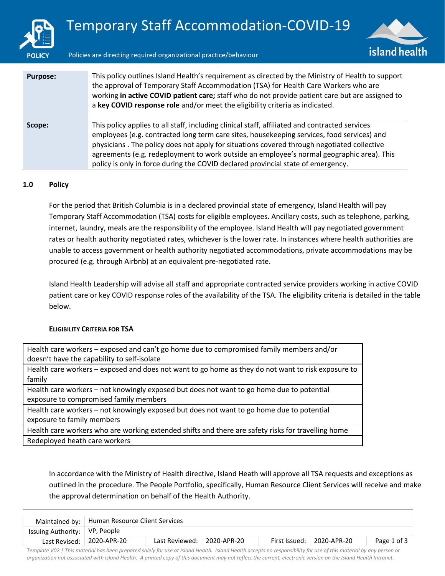



Policies are directing required organizational practice/behaviour

| <b>Purpose:</b> | This policy outlines Island Health's requirement as directed by the Ministry of Health to support<br>the approval of Temporary Staff Accommodation (TSA) for Health Care Workers who are<br>working in active COVID patient care; staff who do not provide patient care but are assigned to<br>a key COVID response role and/or meet the eligibility criteria as indicated.                                                                                                 |
|-----------------|-----------------------------------------------------------------------------------------------------------------------------------------------------------------------------------------------------------------------------------------------------------------------------------------------------------------------------------------------------------------------------------------------------------------------------------------------------------------------------|
| Scope:          | This policy applies to all staff, including clinical staff, affiliated and contracted services<br>employees (e.g. contracted long term care sites, housekeeping services, food services) and<br>physicians. The policy does not apply for situations covered through negotiated collective<br>agreements (e.g. redeployment to work outside an employee's normal geographic area). This<br>policy is only in force during the COVID declared provincial state of emergency. |

#### **1.0 Policy**

For the period that British Columbia is in a declared provincial state of emergency, Island Health will pay Temporary Staff Accommodation (TSA) costs for eligible employees. Ancillary costs, such as telephone, parking, internet, laundry, meals are the responsibility of the employee. Island Health will pay negotiated government rates or health authority negotiated rates, whichever is the lower rate. In instances where health authorities are unable to access government or health authority negotiated accommodations, private accommodations may be procured (e.g. through Airbnb) at an equivalent pre-negotiated rate.

Island Health Leadership will advise all staff and appropriate contracted service providers working in active COVID patient care or key COVID response roles of the availability of the TSA. The eligibility criteria is detailed in the table below.

#### **ELIGIBILITY CRITERIA FOR TSA**

| Health care workers – exposed and can't go home due to compromised family members and/or           |
|----------------------------------------------------------------------------------------------------|
| doesn't have the capability to self-isolate                                                        |
| Health care workers - exposed and does not want to go home as they do not want to risk exposure to |
| family                                                                                             |
| Health care workers – not knowingly exposed but does not want to go home due to potential          |
| exposure to compromised family members                                                             |
| Health care workers - not knowingly exposed but does not want to go home due to potential          |
| exposure to family members                                                                         |
| Health care workers who are working extended shifts and there are safety risks for travelling home |
| Redeployed heath care workers                                                                      |

In accordance with the Ministry of Health directive, Island Heath will approve all TSA requests and exceptions as outlined in the procedure. The People Portfolio, specifically, Human Resource Client Services will receive and make the approval determination on behalf of the Health Authority.

|                                 | Maintained by:   Human Resource Client Services |                |             |               |             |             |
|---------------------------------|-------------------------------------------------|----------------|-------------|---------------|-------------|-------------|
| Issuing Authority:   VP, People |                                                 |                |             |               |             |             |
|                                 | Last Revised: 2020-APR-20                       | Last Reviewed: | 2020-APR-20 | First Issued: | 2020-APR-20 | Page 1 of 3 |

*Template V02 | This material has been prepared solely for use at Island Health. Island Health accepts no responsibility for use of this material by any person or organization not associated with Island Health. A printed copy of this document may not reflect the current, electronic version on the Island Health Intranet.*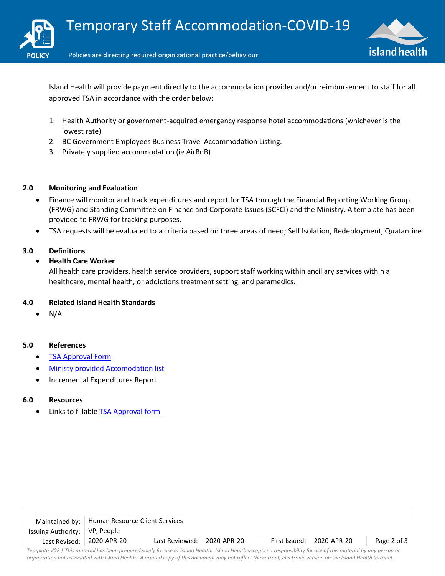



Island Health will provide payment directly to the accommodation provider and/or reimbursement to staff for all approved TSA in accordance with the order below:

- 1. Health Authority or government-acquired emergency response hotel accommodations (whichever is the lowest rate)
- 2. BC Government Employees Business Travel Accommodation Listing.
- 3. Privately supplied accommodation (ie AirBnB)

## **2.0 Monitoring and Evaluation**

- Finance will monitor and track expenditures and report for TSA through the Financial Reporting Working Group (FRWG) and Standing Committee on Finance and Corporate Issues (SCFCI) and the Ministry. A template has been provided to FRWG for tracking purposes.
- TSA requests will be evaluated to a criteria based on three areas of need; Self Isolation, Redeployment, Quatantine

# **3.0 Definitions**

# **Health Care Worker**

All health care providers, health service providers, support staff working within ancillary services within a healthcare, mental health, or addictions treatment setting, and paramedics.

## **4.0 Related Island Health Standards**

N/A

## **5.0 References**

- [TSA Approval Form](https://intranet.viha.ca/covid-19/Documents/temporary-accommodation-form.pdf)
- [Ministy provided Accomodation list](https://intranet.viha.ca/covid-19/Documents/hotels-for-tsa-vancouver-island.pdf)
- Incremental Expenditures Report

## **6.0 Resources**

Links to fillabl[e TSA Approval form](https://intranet.viha.ca/covid-19/Documents/temporary-accommodation-form.pdf)

|                                                                                                                                               | Maintained by:   Human Resource Client Services |                            |  |  |                             |             |
|-----------------------------------------------------------------------------------------------------------------------------------------------|-------------------------------------------------|----------------------------|--|--|-----------------------------|-------------|
| Issuing Authority:   VP, People                                                                                                               |                                                 |                            |  |  |                             |             |
|                                                                                                                                               | Last Revised: $\vert$ 2020-APR-20               | Last Reviewed: 2020-APR-20 |  |  | First Issued:   2020-APR-20 | Page 2 of 3 |
| Tanalata 1709. I This material has head and and addit forma at Island Haulth Island Haulth account the forma of this material homeon care are |                                                 |                            |  |  |                             |             |

*Template V02 | This material has been prepared solely for use at Island Health. Island Health accepts no responsibility for use of this material by any person or organization not associated with Island Health. A printed copy of this document may not reflect the current, electronic version on the Island Health Intranet.*